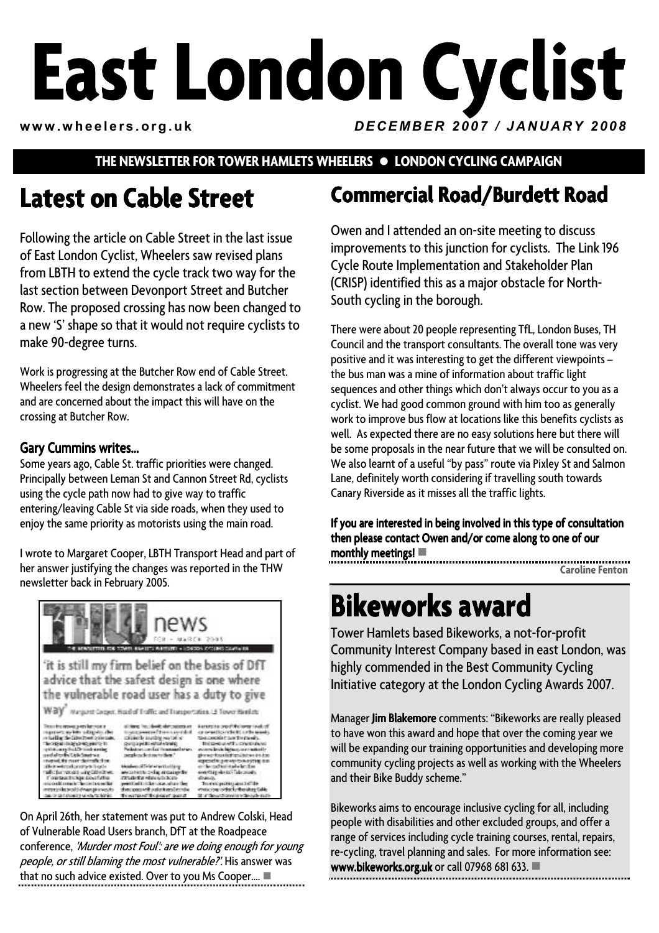# **East London Cyclist www.wheelers.org.uk** *DECEMBER 2007 / JANUARY 2008*

### **THE NEWSLETTER FOR TOWER HAMLETS WHEELERS • LONDON CYCLING CAMPAIGN**

# **Latest on Cable Street**

Following the article on Cable Street in the last issue of East London Cyclist, Wheelers saw revised plans from LBTH to extend the cycle track two way for the last section between Devonport Street and Butcher Row. The proposed crossing has now been changed to a new 'S' shape so that it would not require cyclists to make 90-degree turns.

Work is progressing at the Butcher Row end of Cable Street. Wheelers feel the design demonstrates a lack of commitment and are concerned about the impact this will have on the crossing at Butcher Row.

#### Gary Cummins writes...

Some years ago, Cable St. traffic priorities were changed. Principally between Leman St and Cannon Street Rd, cyclists using the cycle path now had to give way to traffic entering/leaving Cable St via side roads, when they used to enjoy the same priority as motorists using the main road.

I wrote to Margaret Cooper, LBTH Transport Head and part of her answer justifying the changes was reported in the THW newsletter back in February 2005.



On April 26th, her statement was put to Andrew Colski, Head of Vulnerable Road Users branch, DfT at the Roadpeace conference, 'Murder most Foul': are we doing enough for young people, or still blaming the most vulnerable?'. His answer was that no such advice existed. Over to you Ms Cooper....  $\blacksquare$ 

# **Commercial Road/Burdett Road Commercial Road/Burdett Road**

Owen and I attended an on-site meeting to discuss improvements to this junction for cyclists. The Link 196 Cycle Route Implementation and Stakeholder Plan (CRISP) identified this as a major obstacle for North-South cycling in the borough.

There were about 20 people representing TfL, London Buses, TH Council and the transport consultants. The overall tone was very positive and it was interesting to get the different viewpoints – the bus man was a mine of information about traffic light sequences and other things which don't always occur to you as a cyclist. We had good common ground with him too as generally work to improve bus flow at locations like this benefits cyclists as well. As expected there are no easy solutions here but there will be some proposals in the near future that we will be consulted on. We also learnt of a useful "by pass" route via Pixley St and Salmon Lane, definitely worth considering if travelling south towards Canary Riverside as it misses all the traffic lights.

If you are interested in being involved in this type of consultation then please contact Owen and/or come along to one of our monthly meetings!  $\blacksquare$ 

**Caroline Fenton** 

# **Bikeworks award**

Tower Hamlets based Bikeworks, a not-for-profit Community Interest Company based in east London, was highly commended in the Best Community Cycling Initiative category at the London Cycling Awards 2007.

Manager Jim Blakemore comments: "Bikeworks are really pleased to have won this award and hope that over the coming year we will be expanding our training opportunities and developing more community cycling projects as well as working with the Wheelers and their Bike Buddy scheme."

Bikeworks aims to encourage inclusive cycling for all, including people with disabilities and other excluded groups, and offer a range of services including cycle training courses, rental, repairs, re-cycling, travel planning and sales. For more information see: www.bikeworks.org.uk or call 07968 681 633.  $\blacksquare$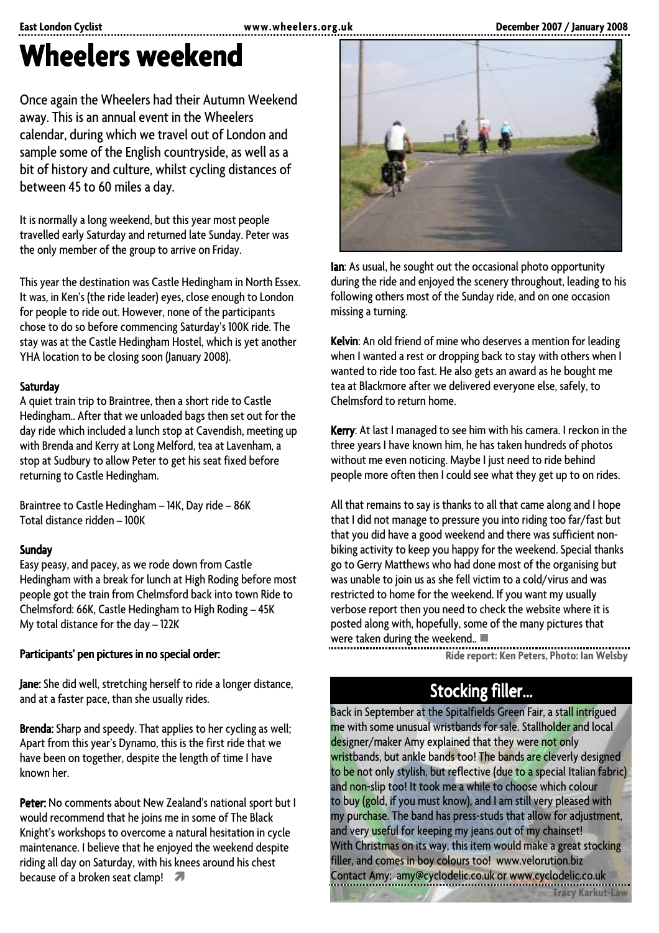# **Wheelers weekend**

Once again the Wheelers had their Autumn Weekend away. This is an annual event in the Wheelers calendar, during which we travel out of London and sample some of the English countryside, as well as a bit of history and culture, whilst cycling distances of between 45 to 60 miles a day.

It is normally a long weekend, but this year most people travelled early Saturday and returned late Sunday. Peter was the only member of the group to arrive on Friday.

This year the destination was Castle Hedingham in North Essex. It was, in Ken's (the ride leader) eyes, close enough to London for people to ride out. However, none of the participants chose to do so before commencing Saturday's 100K ride. The stay was at the Castle Hedingham Hostel, which is yet another YHA location to be closing soon (January 2008).

#### Saturday

A quiet train trip to Braintree, then a short ride to Castle Hedingham.. After that we unloaded bags then set out for the day ride which included a lunch stop at Cavendish, meeting up with Brenda and Kerry at Long Melford, tea at Lavenham, a stop at Sudbury to allow Peter to get his seat fixed before returning to Castle Hedingham.

Braintree to Castle Hedingham – 14K, Day ride – 86K Total distance ridden – 100K

#### **Sunday**

Easy peasy, and pacey, as we rode down from Castle Hedingham with a break for lunch at High Roding before most people got the train from Chelmsford back into town Ride to Chelmsford: 66K, Castle Hedingham to High Roding – 45K My total distance for the day – 122K

#### Participants' pen pictures in no special order:

Jane: She did well, stretching herself to ride a longer distance, and at a faster pace, than she usually rides.

Brenda: Sharp and speedy. That applies to her cycling as well; Apart from this year's Dynamo, this is the first ride that we have been on together, despite the length of time I have known her.

Peter: No comments about New Zealand's national sport but I would recommend that he joins me in some of The Black Knight's workshops to overcome a natural hesitation in cycle maintenance. I believe that he enjoyed the weekend despite riding all day on Saturday, with his knees around his chest because of a broken seat clamp!



Ian: As usual, he sought out the occasional photo opportunity during the ride and enjoyed the scenery throughout, leading to his following others most of the Sunday ride, and on one occasion missing a turning.

Kelvin: An old friend of mine who deserves a mention for leading when I wanted a rest or dropping back to stay with others when I wanted to ride too fast. He also gets an award as he bought me tea at Blackmore after we delivered everyone else, safely, to Chelmsford to return home.

Kerry: At last I managed to see him with his camera. I reckon in the three years I have known him, he has taken hundreds of photos without me even noticing. Maybe I just need to ride behind people more often then I could see what they get up to on rides.

All that remains to say is thanks to all that came along and I hope that I did not manage to pressure you into riding too far/fast but that you did have a good weekend and there was sufficient nonbiking activity to keep you happy for the weekend. Special thanks go to Gerry Matthews who had done most of the organising but was unable to join us as she fell victim to a cold/virus and was restricted to home for the weekend. If you want my usually verbose report then you need to check the website where it is posted along with, hopefully, some of the many pictures that were taken during the weekend..  $\blacksquare$ 

,,,,,,,,,,,,,,,,,,,,,,,,,,,,,, **Ride report: Ken Peters, Photo: Ian Welsby** 

# Stocking filler...

Back in September at the Spitalfields Green Fair, a stall intrigued me with some unusual wristbands for sale. Stallholder and local designer/maker Amy explained that they were not only wristbands, but ankle bands too! The bands are cleverly designed to be not only stylish, but reflective (due to a special Italian fabric) and non-slip too! It took me a while to choose which colour to buy (gold, if you must know), and I am still very pleased with my purchase. The band has press-studs that allow for adjustment, and very useful for keeping my jeans out of my chainset! With Christmas on its way, this item would make a great stocking filler, and comes in boy colours too! www.velorution.biz Contact Amy: amy@cyclodelic.co.uk or www.cyclodelic.co.uk -

**Tracy Karkut-Law**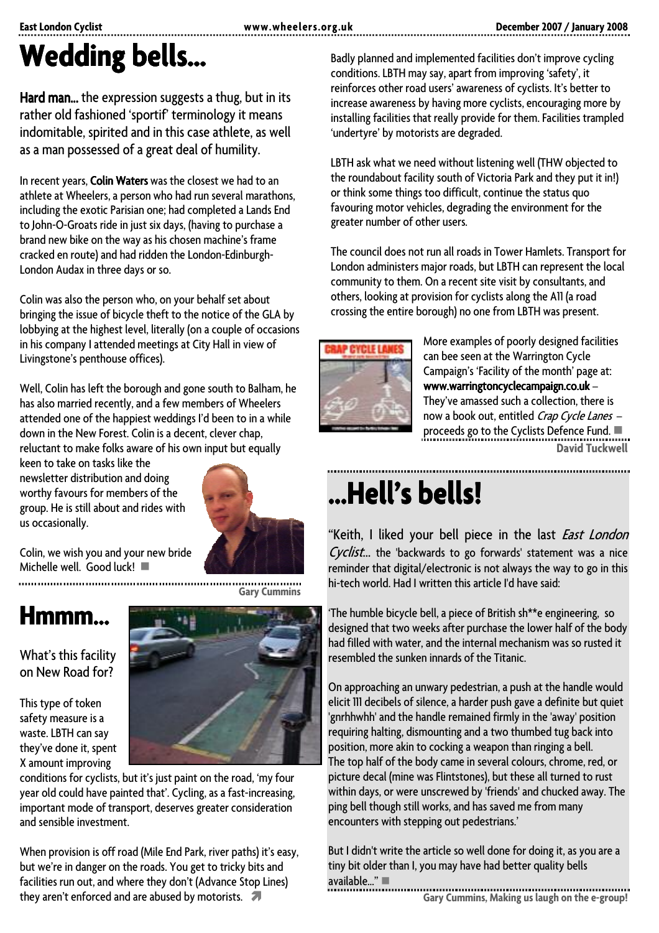# **Wedding bells… bells…**

Hard man... the expression suggests a thug, but in its rather old fashioned 'sportif' terminology it means indomitable, spirited and in this case athlete, as well as a man possessed of a great deal of humility.

In recent years, Colin Waters was the closest we had to an athlete at Wheelers, a person who had run several marathons, including the exotic Parisian one; had completed a Lands End to John-O-Groats ride in just six days, (having to purchase a brand new bike on the way as his chosen machine's frame cracked en route) and had ridden the London-Edinburgh-London Audax in three days or so.

Colin was also the person who, on your behalf set about bringing the issue of bicycle theft to the notice of the GLA by lobbying at the highest level, literally (on a couple of occasions in his company I attended meetings at City Hall in view of Livingstone's penthouse offices).

Well, Colin has left the borough and gone south to Balham, he has also married recently, and a few members of Wheelers attended one of the happiest weddings I'd been to in a while down in the New Forest. Colin is a decent, clever chap, reluctant to make folks aware of his own input but equally

keen to take on tasks like the newsletter distribution and doing worthy favours for members of the group. He is still about and rides with us occasionally.



**Gary Cummins** 

Colin, we wish you and your new bride Michelle well. Good luck!  $\Box$ 

# **Hmmm…**

What's this facility on New Road for?

This type of token safety measure is a waste. LBTH can say they've done it, spent X amount improving



conditions for cyclists, but it's just paint on the road, 'my four year old could have painted that'. Cycling, as a fast-increasing, important mode of transport, deserves greater consideration and sensible investment.

When provision is off road (Mile End Park, river paths) it's easy, but we're in danger on the roads. You get to tricky bits and facilities run out, and where they don't (Advance Stop Lines) they aren't enforced and are abused by motorists.  $\sqrt{\phantom{a}}$ 

Badly planned and implemented facilities don't improve cycling conditions. LBTH may say, apart from improving 'safety', it reinforces other road users' awareness of cyclists. It's better to increase awareness by having more cyclists, encouraging more by installing facilities that really provide for them. Facilities trampled 'undertyre' by motorists are degraded.

LBTH ask what we need without listening well (THW objected to the roundabout facility south of Victoria Park and they put it in!) or think some things too difficult, continue the status quo favouring motor vehicles, degrading the environment for the greater number of other users.

The council does not run all roads in Tower Hamlets. Transport for London administers major roads, but LBTH can represent the local community to them. On a recent site visit by consultants, and others, looking at provision for cyclists along the A11 (a road crossing the entire borough) no one from LBTH was present.



More examples of poorly designed facilities can bee seen at the Warrington Cycle Campaign's 'Facility of the month' page at: www.warringtoncyclecampaign.co.uk – They've amassed such a collection, there is now a book out, entitled Crap Cycle Lanes proceeds go to the Cyclists Defence Fund.  $\blacksquare$ **David Tuckwell** 

# **…Hell's bells! …Hell's bells! bells!bells!**

"Keith, I liked your bell piece in the last *East London* Cyclist... the 'backwards to go forwards' statement was a nice reminder that digital/electronic is not always the way to go in this hi-tech world. Had I written this article I'd have said:

'The humble bicycle bell, a piece of British sh\*\*e engineering, so designed that two weeks after purchase the lower half of the body had filled with water, and the internal mechanism was so rusted it resembled the sunken innards of the Titanic.

On approaching an unwary pedestrian, a push at the handle would elicit 111 decibels of silence, a harder push gave a definite but quiet 'gnrhhwhh' and the handle remained firmly in the 'away' position requiring halting, dismounting and a two thumbed tug back into position, more akin to cocking a weapon than ringing a bell. The top half of the body came in several colours, chrome, red, or picture decal (mine was Flintstones), but these all turned to rust within days, or were unscrewed by 'friends' and chucked away. The ping bell though still works, and has saved me from many encounters with stepping out pedestrians.'

But I didn't write the article so well done for doing it, as you are a tiny bit older than I, you may have had better quality bells available $\mathbb{Z}^n$